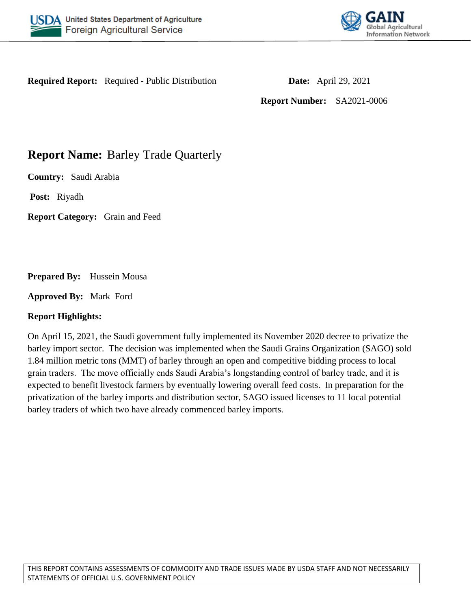



**Required Report:** Required - Public Distribution **Date:** April 29, 2021

**Report Number:** SA2021-0006

# **Report Name:** Barley Trade Quarterly

**Country:** Saudi Arabia

**Post:** Riyadh

**Report Category:** Grain and Feed

**Prepared By:** Hussein Mousa

**Approved By:** Mark Ford

## **Report Highlights:**

On April 15, 2021, the Saudi government fully implemented its November 2020 decree to privatize the barley import sector. The decision was implemented when the Saudi Grains Organization (SAGO) sold 1.84 million metric tons (MMT) of barley through an open and competitive bidding process to local grain traders. The move officially ends Saudi Arabia's longstanding control of barley trade, and it is expected to benefit livestock farmers by eventually lowering overall feed costs. In preparation for the privatization of the barley imports and distribution sector, SAGO issued licenses to 11 local potential barley traders of which two have already commenced barley imports.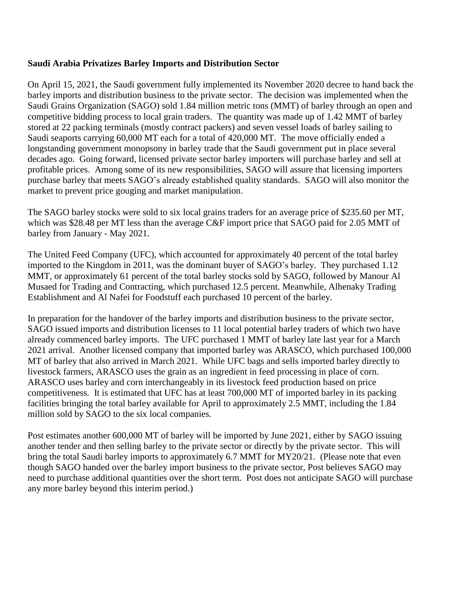## **Saudi Arabia Privatizes Barley Imports and Distribution Sector**

On April 15, 2021, the Saudi government fully implemented its November 2020 decree to hand back the barley imports and distribution business to the private sector. The decision was implemented when the Saudi Grains Organization (SAGO) sold 1.84 million metric tons (MMT) of barley through an open and competitive bidding process to local grain traders. The quantity was made up of 1.42 MMT of barley stored at 22 packing terminals (mostly contract packers) and seven vessel loads of barley sailing to Saudi seaports carrying 60,000 MT each for a total of 420,000 MT. The move officially ended a longstanding government monopsony in barley trade that the Saudi government put in place several decades ago. Going forward, licensed private sector barley importers will purchase barley and sell at profitable prices. Among some of its new responsibilities, SAGO will assure that licensing importers purchase barley that meets SAGO's already established quality standards. SAGO will also monitor the market to prevent price gouging and market manipulation.

The SAGO barley stocks were sold to six local grains traders for an average price of \$235.60 per MT, which was \$28.48 per MT less than the average C&F import price that SAGO paid for 2.05 MMT of barley from January - May 2021.

The United Feed Company (UFC), which accounted for approximately 40 percent of the total barley imported to the Kingdom in 2011, was the dominant buyer of SAGO's barley. They purchased 1.12 MMT, or approximately 61 percent of the total barley stocks sold by SAGO, followed by Manour Al Musaed for Trading and Contracting, which purchased 12.5 percent. Meanwhile, Alhenaky Trading Establishment and Al Nafei for Foodstuff each purchased 10 percent of the barley.

In preparation for the handover of the barley imports and distribution business to the private sector, SAGO issued imports and distribution licenses to 11 local potential barley traders of which two have already commenced barley imports. The UFC purchased 1 MMT of barley late last year for a March 2021 arrival. Another licensed company that imported barley was ARASCO, which purchased 100,000 MT of barley that also arrived in March 2021. While UFC bags and sells imported barley directly to livestock farmers, ARASCO uses the grain as an ingredient in feed processing in place of corn. ARASCO uses barley and corn interchangeably in its livestock feed production based on price competitiveness. It is estimated that UFC has at least 700,000 MT of imported barley in its packing facilities bringing the total barley available for April to approximately 2.5 MMT, including the 1.84 million sold by SAGO to the six local companies.

Post estimates another 600,000 MT of barley will be imported by June 2021, either by SAGO issuing another tender and then selling barley to the private sector or directly by the private sector. This will bring the total Saudi barley imports to approximately 6.7 MMT for MY20/21. (Please note that even though SAGO handed over the barley import business to the private sector, Post believes SAGO may need to purchase additional quantities over the short term. Post does not anticipate SAGO will purchase any more barley beyond this interim period.)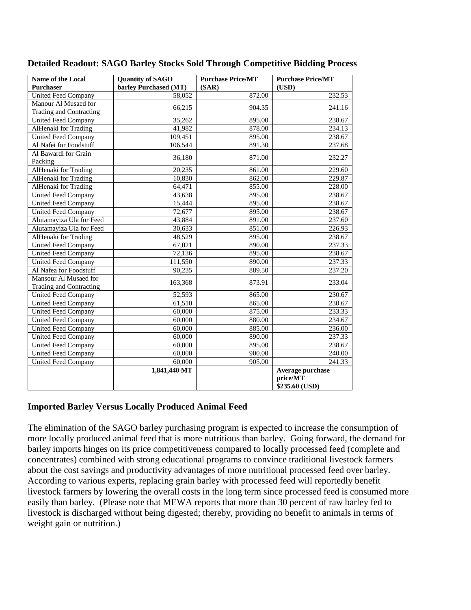| Name of the Local<br><b>Purchaser</b>            | <b>Quantity of SAGO</b><br>barley Purchased (MT) | <b>Purchase Price/MT</b><br>(SAR) | <b>Purchase Price/MT</b><br>(USD)              |  |
|--------------------------------------------------|--------------------------------------------------|-----------------------------------|------------------------------------------------|--|
| <b>United Feed Company</b>                       | 58,052                                           | 872.00                            | 232.53                                         |  |
| Manour Al Musaed for                             |                                                  |                                   |                                                |  |
| Trading and Contracting                          | 66,215                                           | 904.35                            | 241.16                                         |  |
| <b>United Feed Company</b>                       | 35,262                                           | 895.00                            | 238.67                                         |  |
| AlHenaki for Trading                             | 41,982                                           | 878.00                            | 234.13                                         |  |
| <b>United Feed Company</b>                       | 109,451                                          | 895.00                            | 238.67                                         |  |
| Al Nafei for Foodstuff                           | 106,544                                          | 891.30                            | 237.68                                         |  |
| Al Bawardi for Grain<br>Packing                  | 36,180                                           | 871.00                            | 232.27                                         |  |
| AlHenaki for Trading                             | 20,235                                           | 861.00                            | 229.60                                         |  |
| <b>AlHenaki</b> for Trading                      | 10,830                                           | 862.00                            | 229.87                                         |  |
| <b>AlHenaki</b> for Trading                      | 64,471                                           | 855.00                            | 228.00                                         |  |
| <b>United Feed Company</b>                       | 43,638                                           | 895.00                            | 238.67                                         |  |
| <b>United Feed Company</b>                       | 15,444                                           | 895.00                            | 238.67                                         |  |
| <b>United Feed Company</b>                       | 72,677                                           | 895.00                            | 238.67                                         |  |
| Alutamayiza Ula for Feed                         | 43,884                                           | 891.00                            | 237.60                                         |  |
| Alutamayiza Ula for Feed                         | 30,633                                           | 851.00                            | 226.93                                         |  |
| AlHenaki for Trading                             | 48,529                                           | 895.00                            | 238.67                                         |  |
| <b>United Feed Company</b>                       | 67,021                                           | 890.00                            | 237.33                                         |  |
| United Feed Company                              | 72,136                                           | 895.00                            | 238.67                                         |  |
| <b>United Feed Company</b>                       | 111,550                                          | 890.00                            | 237.33                                         |  |
| Al Nafea for Foodstuff                           | 90,235                                           | 889.50                            | 237.20                                         |  |
| Mansour Al Musaed for<br>Trading and Contracting | 163,368                                          | 873.91                            | 233.04                                         |  |
| <b>United Feed Company</b>                       | 52,593                                           | 865.00                            | 230.67                                         |  |
| <b>United Feed Company</b>                       | 61,510                                           | 865.00                            | 230.67                                         |  |
| <b>United Feed Company</b>                       | 60,000                                           | 875.00                            | 233.33                                         |  |
| <b>United Feed Company</b>                       | 60,000                                           | 880.00                            | 234.67                                         |  |
| <b>United Feed Company</b>                       | 60,000                                           | 885.00                            | 236.00                                         |  |
| <b>United Feed Company</b>                       | 60,000                                           | 890.00                            | 237.33                                         |  |
| <b>United Feed Company</b>                       | 60,000                                           | 895.00                            | 238.67                                         |  |
| <b>United Feed Company</b>                       | 60,000                                           | 900.00                            | 240.00                                         |  |
| <b>United Feed Company</b>                       | 60,000                                           | 905.00                            | 241.33                                         |  |
|                                                  | 1,841,440 MT                                     |                                   | Average purchase<br>price/MT<br>\$235.60 (USD) |  |

#### **Detailed Readout: SAGO Barley Stocks Sold Through Competitive Bidding Process**

## **Imported Barley Versus Locally Produced Animal Feed**

The elimination of the SAGO barley purchasing program is expected to increase the consumption of more locally produced animal feed that is more nutritious than barley. Going forward, the demand for barley imports hinges on its price competitiveness compared to locally processed feed (complete and concentrates) combined with strong educational programs to convince traditional livestock farmers about the cost savings and productivity advantages of more nutritional processed feed over barley. According to various experts, replacing grain barley with processed feed will reportedly benefit livestock farmers by lowering the overall costs in the long term since processed feed is consumed more easily than barley. (Please note that MEWA reports that more than 30 percent of raw barley fed to livestock is discharged without being digested; thereby, providing no benefit to animals in terms of weight gain or nutrition.)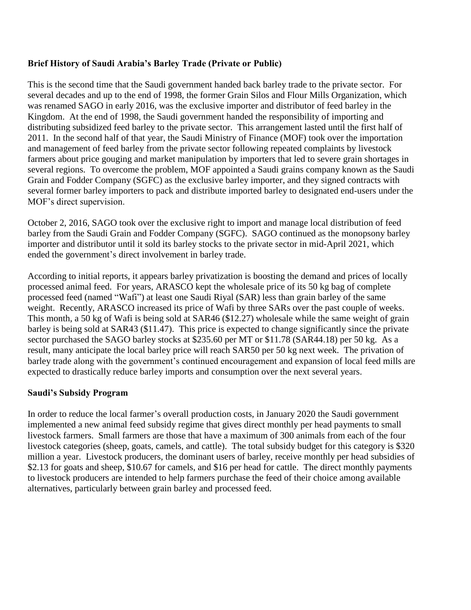# **Brief History of Saudi Arabia's Barley Trade (Private or Public)**

This is the second time that the Saudi government handed back barley trade to the private sector. For several decades and up to the end of 1998, the former Grain Silos and Flour Mills Organization, which was renamed SAGO in early 2016, was the exclusive importer and distributor of feed barley in the Kingdom. At the end of 1998, the Saudi government handed the responsibility of importing and distributing subsidized feed barley to the private sector. This arrangement lasted until the first half of 2011. In the second half of that year, the Saudi Ministry of Finance (MOF) took over the importation and management of feed barley from the private sector following repeated complaints by livestock farmers about price gouging and market manipulation by importers that led to severe grain shortages in several regions. To overcome the problem, MOF appointed a Saudi grains company known as the Saudi Grain and Fodder Company (SGFC) as the exclusive barley importer, and they signed contracts with several former barley importers to pack and distribute imported barley to designated end-users under the MOF's direct supervision.

October 2, 2016, SAGO took over the exclusive right to import and manage local distribution of feed barley from the Saudi Grain and Fodder Company (SGFC). SAGO continued as the monopsony barley importer and distributor until it sold its barley stocks to the private sector in mid-April 2021, which ended the government's direct involvement in barley trade.

According to initial reports, it appears barley privatization is boosting the demand and prices of locally processed animal feed. For years, ARASCO kept the wholesale price of its 50 kg bag of complete processed feed (named "Wafi") at least one Saudi Riyal (SAR) less than grain barley of the same weight. Recently, ARASCO increased its price of Wafi by three SARs over the past couple of weeks. This month, a 50 kg of Wafi is being sold at SAR46 (\$12.27) wholesale while the same weight of grain barley is being sold at SAR43 (\$11.47). This price is expected to change significantly since the private sector purchased the SAGO barley stocks at \$235.60 per MT or \$11.78 (SAR44.18) per 50 kg. As a result, many anticipate the local barley price will reach SAR50 per 50 kg next week. The privation of barley trade along with the government's continued encouragement and expansion of local feed mills are expected to drastically reduce barley imports and consumption over the next several years.

## **Saudi's Subsidy Program**

In order to reduce the local farmer's overall production costs, in January 2020 the Saudi government implemented a new animal feed subsidy regime that gives direct monthly per head payments to small livestock farmers. Small farmers are those that have a maximum of 300 animals from each of the four livestock categories (sheep, goats, camels, and cattle). The total subsidy budget for this category is \$320 million a year. Livestock producers, the dominant users of barley, receive monthly per head subsidies of \$2.13 for goats and sheep, \$10.67 for camels, and \$16 per head for cattle. The direct monthly payments to livestock producers are intended to help farmers purchase the feed of their choice among available alternatives, particularly between grain barley and processed feed.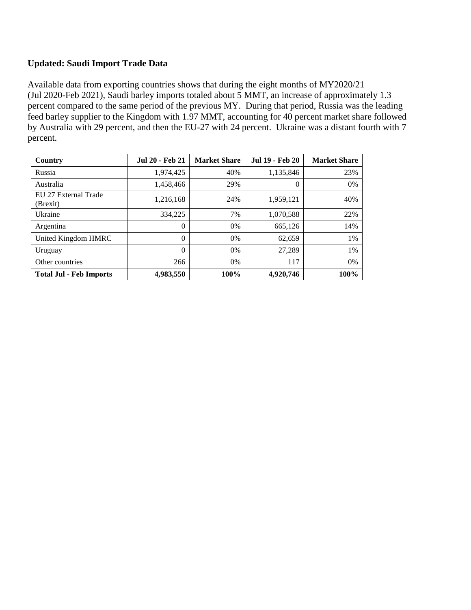# **Updated: Saudi Import Trade Data**

Available data from exporting countries shows that during the eight months of MY2020/21 (Jul 2020-Feb 2021), Saudi barley imports totaled about 5 MMT, an increase of approximately 1.3 percent compared to the same period of the previous MY. During that period, Russia was the leading feed barley supplier to the Kingdom with 1.97 MMT, accounting for 40 percent market share followed by Australia with 29 percent, and then the EU-27 with 24 percent. Ukraine was a distant fourth with 7 percent.

| Country                          | <b>Jul 20 - Feb 21</b> | <b>Market Share</b> | <b>Jul 19 - Feb 20</b> | <b>Market Share</b> |
|----------------------------------|------------------------|---------------------|------------------------|---------------------|
| Russia                           | 1,974,425              | 40%                 | 1,135,846              | 23%                 |
| Australia                        | 1,458,466              | 29%                 | 0                      | $0\%$               |
| EU 27 External Trade<br>(Brexit) | 1,216,168              | 24%                 | 1,959,121              | 40%                 |
| Ukraine                          | 334,225                | 7%                  | 1,070,588              | 22%                 |
| Argentina                        | $\theta$               | $0\%$               | 665,126                | 14%                 |
| United Kingdom HMRC              | $\theta$               | $0\%$               | 62,659                 | 1%                  |
| Uruguay                          | $\Omega$               | $0\%$               | 27,289                 | 1%                  |
| Other countries                  | 266                    | $0\%$               | 117                    | $0\%$               |
| <b>Total Jul - Feb Imports</b>   | 4,983,550              | 100%                | 4,920,746              | 100%                |